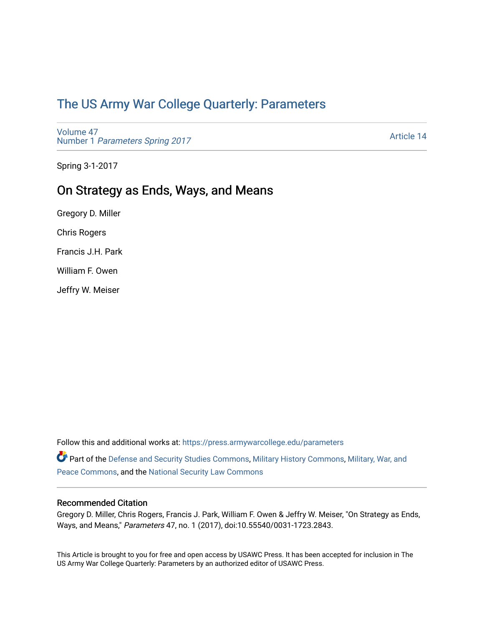# [The US Army War College Quarterly: Parameters](https://press.armywarcollege.edu/parameters)

[Volume 47](https://press.armywarcollege.edu/parameters/vol47) Number 1 [Parameters Spring 2017](https://press.armywarcollege.edu/parameters/vol47/iss1) 

[Article 14](https://press.armywarcollege.edu/parameters/vol47/iss1/14) 

Spring 3-1-2017

## On Strategy as Ends, Ways, and Means

Gregory D. Miller

Chris Rogers

Francis J.H. Park

William F. Owen

Jeffry W. Meiser

Follow this and additional works at: [https://press.armywarcollege.edu/parameters](https://press.armywarcollege.edu/parameters?utm_source=press.armywarcollege.edu%2Fparameters%2Fvol47%2Fiss1%2F14&utm_medium=PDF&utm_campaign=PDFCoverPages) 

Part of the [Defense and Security Studies Commons](http://network.bepress.com/hgg/discipline/394?utm_source=press.armywarcollege.edu%2Fparameters%2Fvol47%2Fiss1%2F14&utm_medium=PDF&utm_campaign=PDFCoverPages), [Military History Commons,](http://network.bepress.com/hgg/discipline/504?utm_source=press.armywarcollege.edu%2Fparameters%2Fvol47%2Fiss1%2F14&utm_medium=PDF&utm_campaign=PDFCoverPages) Military, War, and [Peace Commons](http://network.bepress.com/hgg/discipline/861?utm_source=press.armywarcollege.edu%2Fparameters%2Fvol47%2Fiss1%2F14&utm_medium=PDF&utm_campaign=PDFCoverPages), and the [National Security Law Commons](http://network.bepress.com/hgg/discipline/1114?utm_source=press.armywarcollege.edu%2Fparameters%2Fvol47%2Fiss1%2F14&utm_medium=PDF&utm_campaign=PDFCoverPages)

## Recommended Citation

Gregory D. Miller, Chris Rogers, Francis J. Park, William F. Owen & Jeffry W. Meiser, "On Strategy as Ends, Ways, and Means," Parameters 47, no. 1 (2017), doi:10.55540/0031-1723.2843.

This Article is brought to you for free and open access by USAWC Press. It has been accepted for inclusion in The US Army War College Quarterly: Parameters by an authorized editor of USAWC Press.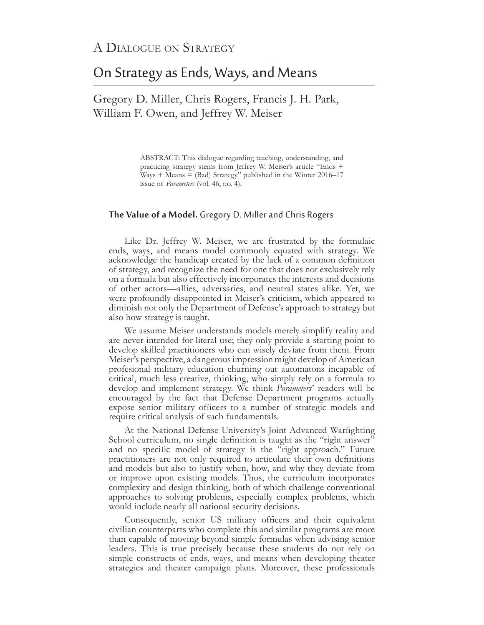# On Strategy as Ends, Ways, and Means

Gregory D. Miller, Chris Rogers, Francis J. H. Park, William F. Owen, and Jeffrey W. Meiser

> ABSTRACT: This dialogue regarding teaching, understanding, and practicing strategy stems from Jeffrey W. Meiser's article "Ends + Ways + Means = (Bad) Strategy" published in the Winter 2016–17 issue of *Parameters* (vol. 46, no. 4).

### **The Value of a Model.** Gregory D. Miller and Chris Rogers

Like Dr. Jeffrey W. Meiser, we are frustrated by the formulaic ends, ways, and means model commonly equated with strategy. We acknowledge the handicap created by the lack of a common definition of strategy, and recognize the need for one that does not exclusively rely on a formula but also effectively incorporates the interests and decisions of other actors—allies, adversaries, and neutral states alike. Yet, we were profoundly disappointed in Meiser's criticism, which appeared to diminish not only the Department of Defense's approach to strategy but also how strategy is taught.

We assume Meiser understands models merely simplify reality and are never intended for literal use; they only provide a starting point to develop skilled practitioners who can wisely deviate from them. From Meiser's perspective, a dangerous impression might develop of American profesional military education churning out automatons incapable of critical, much less creative, thinking, who simply rely on a formula to develop and implement strategy. We think *Parameters*' readers will be encouraged by the fact that Defense Department programs actually expose senior military officers to a number of strategic models and require critical analysis of such fundamentals.

At the National Defense University's Joint Advanced Warfighting School curriculum, no single definition is taught as the "right answer" and no specific model of strategy is the "right approach." Future practitioners are not only required to articulate their own definitions and models but also to justify when, how, and why they deviate from or improve upon existing models. Thus, the curriculum incorporates complexity and design thinking, both of which challenge conventional approaches to solving problems, especially complex problems, which would include nearly all national security decisions.

Consequently, senior US military officers and their equivalent civilian counterparts who complete this and similar programs are more than capable of moving beyond simple formulas when advising senior leaders. This is true precisely because these students do not rely on simple constructs of ends, ways, and means when developing theater strategies and theater campaign plans. Moreover, these professionals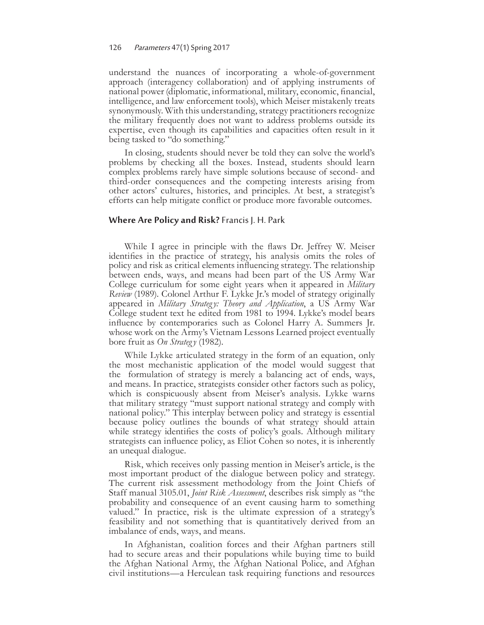#### 126 Parameters 47(1) Spring 2017

understand the nuances of incorporating a whole-of-government approach (interagency collaboration) and of applying instruments of national power (diplomatic, informational, military, economic, financial, intelligence, and law enforcement tools), which Meiser mistakenly treats synonymously. With this understanding, strategy practitioners recognize the military frequently does not want to address problems outside its expertise, even though its capabilities and capacities often result in it being tasked to "do something."

In closing, students should never be told they can solve the world's problems by checking all the boxes. Instead, students should learn complex problems rarely have simple solutions because of second- and third-order consequences and the competing interests arising from other actors' cultures, histories, and principles. At best, a strategist's efforts can help mitigate conflict or produce more favorable outcomes.

### **Where Are Policy and Risk?** Francis J. H. Park

While I agree in principle with the flaws Dr. Jeffrey W. Meiser identifies in the practice of strategy, his analysis omits the roles of policy and risk as critical elements influencing strategy. The relationship between ends, ways, and means had been part of the US Army War College curriculum for some eight years when it appeared in *Military Review* (1989). Colonel Arthur F. Lykke Jr.'s model of strategy originally appeared in *Military Strateg y: Theory and Application*, a US Army War College student text he edited from 1981 to 1994. Lykke's model bears influence by contemporaries such as Colonel Harry A. Summers Jr. whose work on the Army's Vietnam Lessons Learned project eventually bore fruit as *On Strateg y* (1982).

While Lykke articulated strategy in the form of an equation, only the most mechanistic application of the model would suggest that the formulation of strategy is merely a balancing act of ends, ways, and means. In practice, strategists consider other factors such as policy, which is conspicuously absent from Meiser's analysis. Lykke warns that military strategy "must support national strategy and comply with national policy." This interplay between policy and strategy is essential because policy outlines the bounds of what strategy should attain while strategy identifies the costs of policy's goals. Although military strategists can influence policy, as Eliot Cohen so notes, it is inherently an unequal dialogue.

Risk, which receives only passing mention in Meiser's article, is the most important product of the dialogue between policy and strategy. The current risk assessment methodology from the Joint Chiefs of Staff manual 3105.01, *Joint Risk Assessment*, describes risk simply as "the probability and consequence of an event causing harm to something valued." In practice, risk is the ultimate expression of a strategy's feasibility and not something that is quantitatively derived from an imbalance of ends, ways, and means.

In Afghanistan, coalition forces and their Afghan partners still had to secure areas and their populations while buying time to build the Afghan National Army, the Afghan National Police, and Afghan civil institutions—a Herculean task requiring functions and resources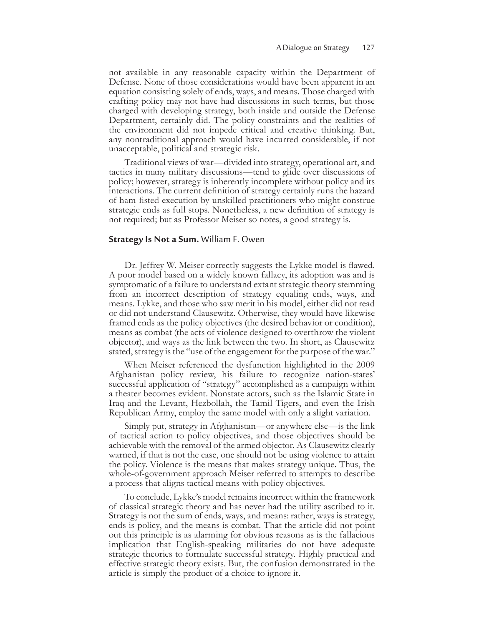not available in any reasonable capacity within the Department of Defense. None of those considerations would have been apparent in an equation consisting solely of ends, ways, and means. Those charged with crafting policy may not have had discussions in such terms, but those charged with developing strategy, both inside and outside the Defense Department, certainly did. The policy constraints and the realities of the environment did not impede critical and creative thinking. But, any nontraditional approach would have incurred considerable, if not unacceptable, political and strategic risk.

Traditional views of war—divided into strategy, operational art, and tactics in many military discussions—tend to glide over discussions of policy; however, strategy is inherently incomplete without policy and its interactions. The current definition of strategy certainly runs the hazard of ham-fi sted execution by unskilled practitioners who might construe strategic ends as full stops. Nonetheless, a new definition of strategy is not required; but as Professor Meiser so notes, a good strategy is.

#### **Strategy Is Not a Sum.** William F. Owen

Dr. Jeffrey W. Meiser correctly suggests the Lykke model is flawed. A poor model based on a widely known fallacy, its adoption was and is symptomatic of a failure to understand extant strategic theory stemming from an incorrect description of strategy equaling ends, ways, and means. Lykke, and those who saw merit in his model, either did not read or did not understand Clausewitz. Otherwise, they would have likewise framed ends as the policy objectives (the desired behavior or condition), means as combat (the acts of violence designed to overthrow the violent objector), and ways as the link between the two. In short, as Clausewitz stated, strategy is the "use of the engagement for the purpose of the war."

When Meiser referenced the dysfunction highlighted in the 2009 Afghanistan policy review, his failure to recognize nation-states' successful application of "strategy" accomplished as a campaign within a theater becomes evident. Nonstate actors, such as the Islamic State in Iraq and the Levant, Hezbollah, the Tamil Tigers, and even the Irish Republican Army, employ the same model with only a slight variation.

Simply put, strategy in Afghanistan—or anywhere else—is the link of tactical action to policy objectives, and those objectives should be achievable with the removal of the armed objector. As Clausewitz clearly warned, if that is not the case, one should not be using violence to attain the policy. Violence is the means that makes strategy unique. Thus, the whole-of-government approach Meiser referred to attempts to describe a process that aligns tactical means with policy objectives.

To conclude, Lykke's model remains incorrect within the framework of classical strategic theory and has never had the utility ascribed to it. Strategy is not the sum of ends, ways, and means: rather, ways is strategy, ends is policy, and the means is combat. That the article did not point out this principle is as alarming for obvious reasons as is the fallacious implication that English-speaking militaries do not have adequate strategic theories to formulate successful strategy. Highly practical and effective strategic theory exists. But, the confusion demonstrated in the article is simply the product of a choice to ignore it.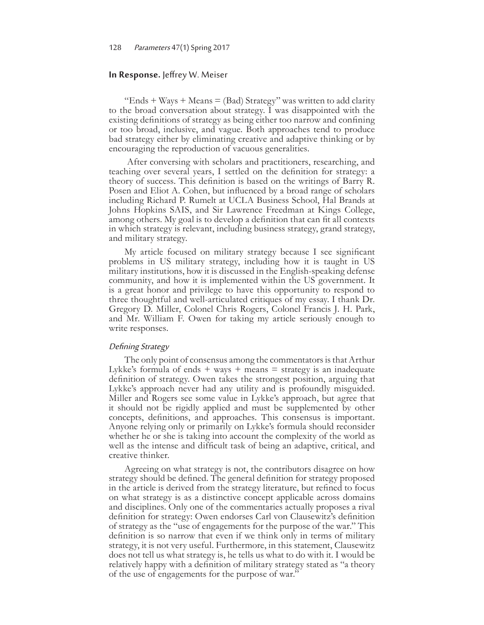#### **In Response.** Jeffrey W. Meiser

"Ends  $+$  Ways  $+$  Means  $=$  (Bad) Strategy" was written to add clarity to the broad conversation about strategy. I was disappointed with the existing definitions of strategy as being either too narrow and confining or too broad, inclusive, and vague. Both approaches tend to produce bad strategy either by eliminating creative and adaptive thinking or by encouraging the reproduction of vacuous generalities.

 After conversing with scholars and practitioners, researching, and teaching over several years, I settled on the definition for strategy: a theory of success. This definition is based on the writings of Barry R. Posen and Eliot A. Cohen, but influenced by a broad range of scholars including Richard P. Rumelt at UCLA Business School, Hal Brands at Johns Hopkins SAIS, and Sir Lawrence Freedman at Kings College, among others. My goal is to develop a definition that can fit all contexts in which strategy is relevant, including business strategy, grand strategy, and military strategy.

My article focused on military strategy because I see significant problems in US military strategy, including how it is taught in US military institutions, how it is discussed in the English-speaking defense community, and how it is implemented within the US government. It is a great honor and privilege to have this opportunity to respond to three thoughtful and well-articulated critiques of my essay. I thank Dr. Gregory D. Miller, Colonel Chris Rogers, Colonel Francis J. H. Park, and Mr. William F. Owen for taking my article seriously enough to write responses.

### Defining Strategy

The only point of consensus among the commentators is that Arthur Lykke's formula of ends  $+$  ways  $+$  means  $=$  strategy is an inadequate definition of strategy. Owen takes the strongest position, arguing that Lykke's approach never had any utility and is profoundly misguided. Miller and Rogers see some value in Lykke's approach, but agree that it should not be rigidly applied and must be supplemented by other concepts, definitions, and approaches. This consensus is important. Anyone relying only or primarily on Lykke's formula should reconsider whether he or she is taking into account the complexity of the world as well as the intense and difficult task of being an adaptive, critical, and creative thinker.

Agreeing on what strategy is not, the contributors disagree on how strategy should be defined. The general definition for strategy proposed in the article is derived from the strategy literature, but refined to focus on what strategy is as a distinctive concept applicable across domains and disciplines. Only one of the commentaries actually proposes a rival definition for strategy: Owen endorses Carl von Clausewitz's definition of strategy as the "use of engagements for the purpose of the war." This definition is so narrow that even if we think only in terms of military strategy, it is not very useful. Furthermore, in this statement, Clausewitz does not tell us what strategy is, he tells us what to do with it. I would be relatively happy with a definition of military strategy stated as "a theory of the use of engagements for the purpose of war."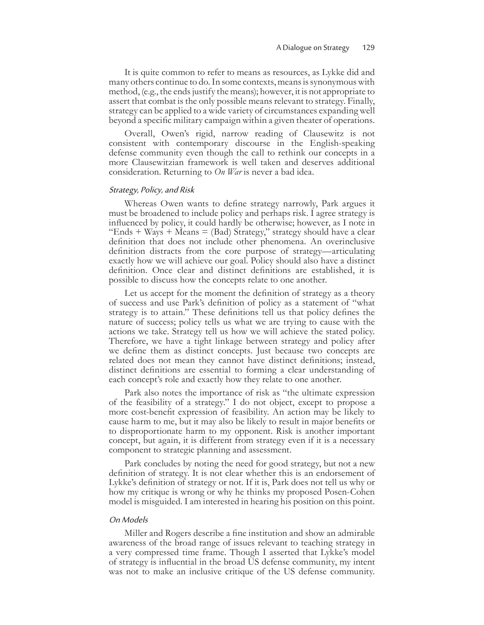It is quite common to refer to means as resources, as Lykke did and many others continue to do. In some contexts, means is synonymous with method, (e.g., the ends justify the means); however, it is not appropriate to assert that combat is the only possible means relevant to strategy. Finally, strategy can be applied to a wide variety of circumstances expanding well beyond a specific military campaign within a given theater of operations.

Overall, Owen's rigid, narrow reading of Clausewitz is not consistent with contemporary discourse in the English-speaking defense community even though the call to rethink our concepts in a more Clausewitzian framework is well taken and deserves additional consideration. Returning to *On War* is never a bad idea.

### Strategy, Policy, and Risk

Whereas Owen wants to define strategy narrowly, Park argues it must be broadened to include policy and perhaps risk. I agree strategy is influenced by policy, it could hardly be otherwise; however, as I note in "Ends  $+$  Ways  $+$  Means  $=$  (Bad) Strategy," strategy should have a clear definition that does not include other phenomena. An overinclusive definition distracts from the core purpose of strategy—articulating exactly how we will achieve our goal. Policy should also have a distinct definition. Once clear and distinct definitions are established, it is possible to discuss how the concepts relate to one another.

Let us accept for the moment the definition of strategy as a theory of success and use Park's definition of policy as a statement of "what strategy is to attain." These definitions tell us that policy defines the nature of success; policy tells us what we are trying to cause with the actions we take. Strategy tell us how we will achieve the stated policy. Therefore, we have a tight linkage between strategy and policy after we define them as distinct concepts. Just because two concepts are related does not mean they cannot have distinct definitions; instead, distinct definitions are essential to forming a clear understanding of each concept's role and exactly how they relate to one another.

Park also notes the importance of risk as "the ultimate expression of the feasibility of a strategy." I do not object, except to propose a more cost-benefit expression of feasibility. An action may be likely to cause harm to me, but it may also be likely to result in major benefits or to disproportionate harm to my opponent. Risk is another important concept, but again, it is different from strategy even if it is a necessary component to strategic planning and assessment.

Park concludes by noting the need for good strategy, but not a new definition of strategy. It is not clear whether this is an endorsement of Lykke's definition of strategy or not. If it is, Park does not tell us why or how my critique is wrong or why he thinks my proposed Posen-Cohen model is misguided. I am interested in hearing his position on this point.

#### On Models

Miller and Rogers describe a fine institution and show an admirable awareness of the broad range of issues relevant to teaching strategy in a very compressed time frame. Though I asserted that Lykke's model of strategy is influential in the broad US defense community, my intent was not to make an inclusive critique of the US defense community.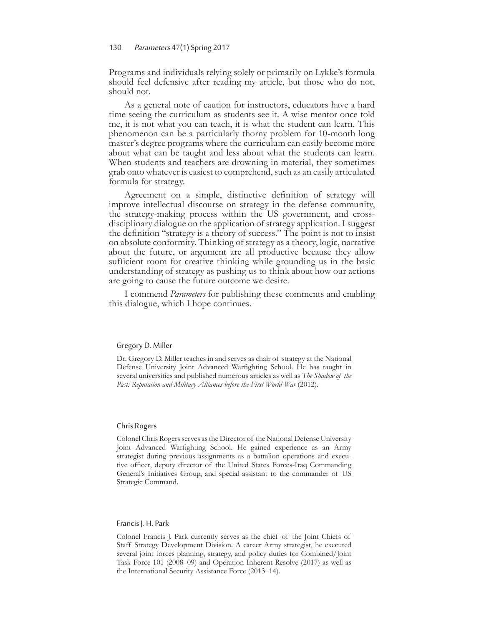#### 130 Parameters 47(1) Spring 2017

Programs and individuals relying solely or primarily on Lykke's formula should feel defensive after reading my article, but those who do not, should not.

As a general note of caution for instructors, educators have a hard time seeing the curriculum as students see it. A wise mentor once told me, it is not what you can teach, it is what the student can learn. This phenomenon can be a particularly thorny problem for 10-month long master's degree programs where the curriculum can easily become more about what can be taught and less about what the students can learn. When students and teachers are drowning in material, they sometimes grab onto whatever is easiest to comprehend, such as an easily articulated formula for strategy.

Agreement on a simple, distinctive definition of strategy will improve intellectual discourse on strategy in the defense community, the strategy-making process within the US government, and crossdisciplinary dialogue on the application of strategy application. I suggest the definition "strategy is a theory of success." The point is not to insist on absolute conformity. Thinking of strategy as a theory, logic, narrative about the future, or argument are all productive because they allow sufficient room for creative thinking while grounding us in the basic understanding of strategy as pushing us to think about how our actions are going to cause the future outcome we desire.

I commend *Parameters* for publishing these comments and enabling this dialogue, which I hope continues.

#### Gregory D. Miller

Dr. Gregory D. Miller teaches in and serves as chair of strategy at the National Defense University Joint Advanced Warfighting School. He has taught in several universities and published numerous articles as well as *The Shadow of the Past: Reputation and Military Alliances before the First World War* (2012).

#### Chris Rogers

Colonel Chris Rogers serves as the Director of the National Defense University Joint Advanced Warfighting School. He gained experience as an Army strategist during previous assignments as a battalion operations and executive officer, deputy director of the United States Forces-Iraq Commanding General's Initiatives Group, and special assistant to the commander of US Strategic Command.

#### Francis J. H. Park

Colonel Francis J. Park currently serves as the chief of the Joint Chiefs of Staff Strategy Development Division. A career Army strategist, he executed several joint forces planning, strategy, and policy duties for Combined/Joint Task Force 101 (2008–09) and Operation Inherent Resolve (2017) as well as the International Security Assistance Force (2013–14).